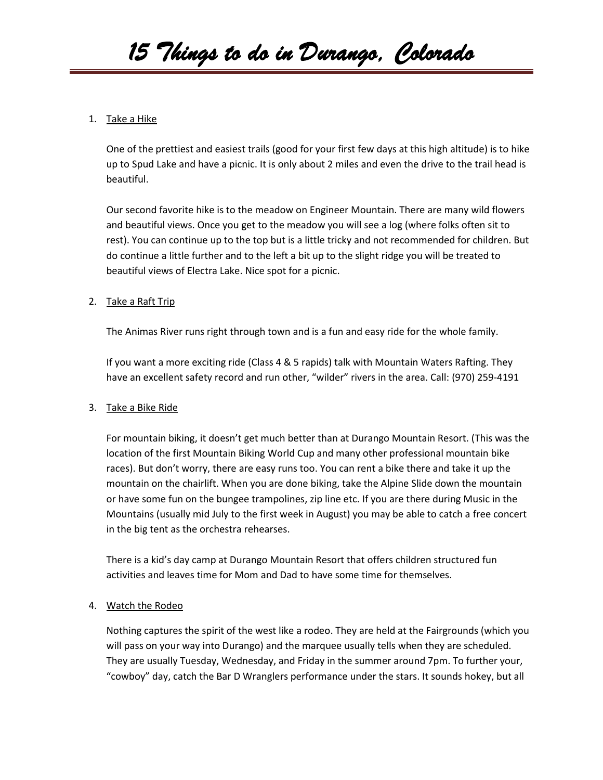# 1. Take a Hike

One of the prettiest and easiest trails (good for your first few days at this high altitude) is to hike up to Spud Lake and have a picnic. It is only about 2 miles and even the drive to the trail head is beautiful.

Our second favorite hike is to the meadow on Engineer Mountain. There are many wild flowers and beautiful views. Once you get to the meadow you will see a log (where folks often sit to rest). You can continue up to the top but is a little tricky and not recommended for children. But do continue a little further and to the left a bit up to the slight ridge you will be treated to beautiful views of Electra Lake. Nice spot for a picnic.

# 2. Take a Raft Trip

The Animas River runs right through town and is a fun and easy ride for the whole family.

If you want a more exciting ride (Class 4 & 5 rapids) talk with Mountain Waters Rafting. They have an excellent safety record and run other, "wilder" rivers in the area. Call: (970) 259-4191

# 3. Take a Bike Ride

For mountain biking, it doesn't get much better than at Durango Mountain Resort. (This was the location of the first Mountain Biking World Cup and many other professional mountain bike races). But don't worry, there are easy runs too. You can rent a bike there and take it up the mountain on the chairlift. When you are done biking, take the Alpine Slide down the mountain or have some fun on the bungee trampolines, zip line etc. If you are there during Music in the Mountains (usually mid July to the first week in August) you may be able to catch a free concert in the big tent as the orchestra rehearses.

There is a kid's day camp at Durango Mountain Resort that offers children structured fun activities and leaves time for Mom and Dad to have some time for themselves.

# 4. Watch the Rodeo

Nothing captures the spirit of the west like a rodeo. They are held at the Fairgrounds (which you will pass on your way into Durango) and the marquee usually tells when they are scheduled. They are usually Tuesday, Wednesday, and Friday in the summer around 7pm. To further your, "cowboy" day, catch the Bar D Wranglers performance under the stars. It sounds hokey, but all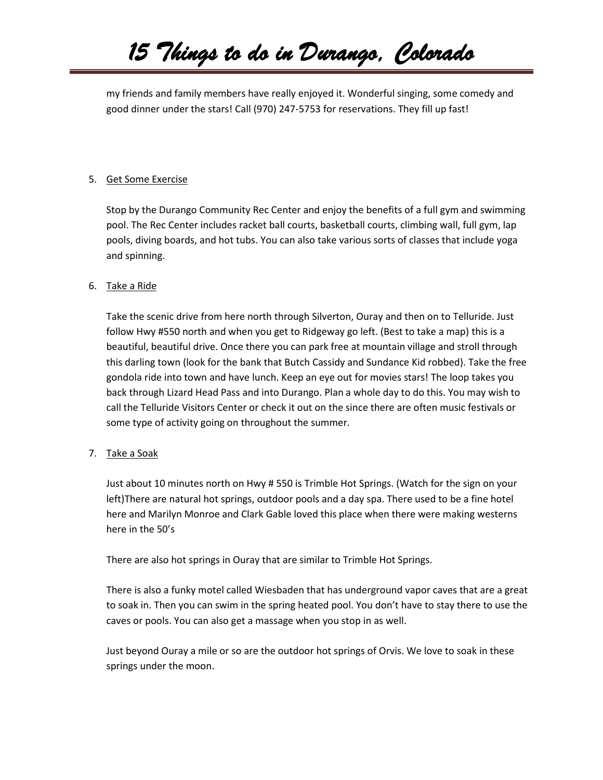# *15 Things to do in Durango, Colorado*

my friends and family members have really enjoyed it. Wonderful singing, some comedy and good dinner under the stars! Call (970) 247-5753 for reservations. They fill up fast!

#### 5. Get Some Exercise

Stop by the Durango Community Rec Center and enjoy the benefits of a full gym and swimming pool. The Rec Center includes racket ball courts, basketball courts, climbing wall, full gym, lap pools, diving boards, and hot tubs. You can also take various sorts of classes that include yoga and spinning.

#### 6. Take a Ride

Take the scenic drive from here north through Silverton, Ouray and then on to Telluride. Just follow Hwy #550 north and when you get to Ridgeway go left. (Best to take a map) this is a beautiful, beautiful drive. Once there you can park free at mountain village and stroll through this darling town (look for the bank that Butch Cassidy and Sundance Kid robbed). Take the free gondola ride into town and have lunch. Keep an eye out for movies stars! The loop takes you back through Lizard Head Pass and into Durango. Plan a whole day to do this. You may wish to call the Telluride Visitors Center or check it out on the since there are often music festivals or some type of activity going on throughout the summer.

# 7. Take a Soak

Just about 10 minutes north on Hwy # 550 is Trimble Hot Springs. (Watch for the sign on your left)There are natural hot springs, outdoor pools and a day spa. There used to be a fine hotel here and Marilyn Monroe and Clark Gable loved this place when there were making westerns here in the 50's

There are also hot springs in Ouray that are similar to Trimble Hot Springs.

There is also a funky motel called Wiesbaden that has underground vapor caves that are a great to soak in. Then you can swim in the spring heated pool. You don't have to stay there to use the caves or pools. You can also get a massage when you stop in as well.

Just beyond Ouray a mile or so are the outdoor hot springs of Orvis. We love to soak in these springs under the moon.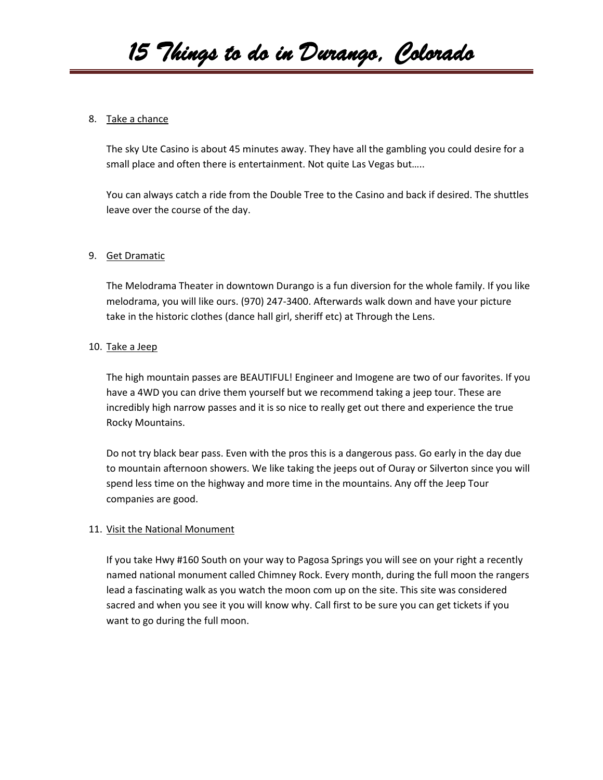# *15 Things to do in Durango, Colorado*

#### 8. Take a chance

The sky Ute Casino is about 45 minutes away. They have all the gambling you could desire for a small place and often there is entertainment. Not quite Las Vegas but…..

You can always catch a ride from the Double Tree to the Casino and back if desired. The shuttles leave over the course of the day.

#### 9. Get Dramatic

The Melodrama Theater in downtown Durango is a fun diversion for the whole family. If you like melodrama, you will like ours. (970) 247-3400. Afterwards walk down and have your picture take in the historic clothes (dance hall girl, sheriff etc) at Through the Lens.

#### 10. Take a Jeep

The high mountain passes are BEAUTIFUL! Engineer and Imogene are two of our favorites. If you have a 4WD you can drive them yourself but we recommend taking a jeep tour. These are incredibly high narrow passes and it is so nice to really get out there and experience the true Rocky Mountains.

Do not try black bear pass. Even with the pros this is a dangerous pass. Go early in the day due to mountain afternoon showers. We like taking the jeeps out of Ouray or Silverton since you will spend less time on the highway and more time in the mountains. Any off the Jeep Tour companies are good.

#### 11. Visit the National Monument

If you take Hwy #160 South on your way to Pagosa Springs you will see on your right a recently named national monument called Chimney Rock. Every month, during the full moon the rangers lead a fascinating walk as you watch the moon com up on the site. This site was considered sacred and when you see it you will know why. Call first to be sure you can get tickets if you want to go during the full moon.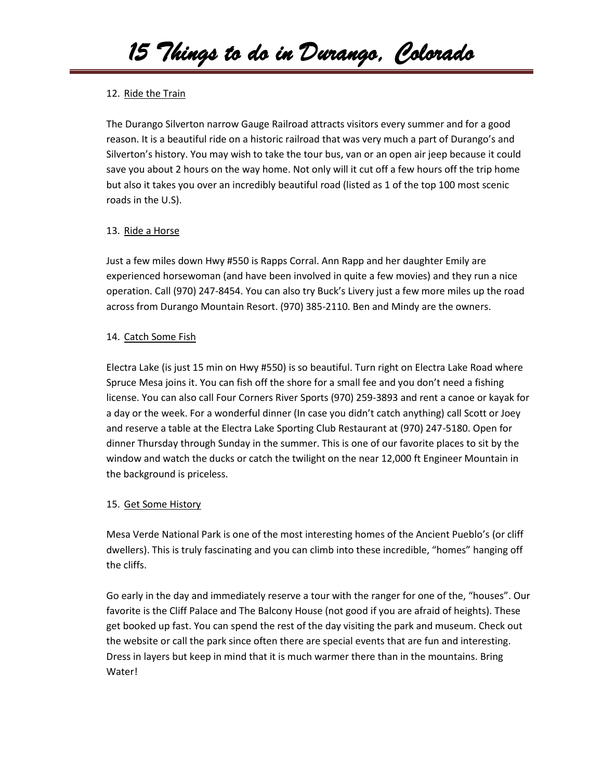# 12. Ride the Train

The Durango Silverton narrow Gauge Railroad attracts visitors every summer and for a good reason. It is a beautiful ride on a historic railroad that was very much a part of Durango's and Silverton's history. You may wish to take the tour bus, van or an open air jeep because it could save you about 2 hours on the way home. Not only will it cut off a few hours off the trip home but also it takes you over an incredibly beautiful road (listed as 1 of the top 100 most scenic roads in the U.S).

# 13. Ride a Horse

Just a few miles down Hwy #550 is Rapps Corral. Ann Rapp and her daughter Emily are experienced horsewoman (and have been involved in quite a few movies) and they run a nice operation. Call (970) 247-8454. You can also try Buck's Livery just a few more miles up the road across from Durango Mountain Resort. (970) 385-2110. Ben and Mindy are the owners.

# 14. Catch Some Fish

Electra Lake (is just 15 min on Hwy #550) is so beautiful. Turn right on Electra Lake Road where Spruce Mesa joins it. You can fish off the shore for a small fee and you don't need a fishing license. You can also call Four Corners River Sports (970) 259-3893 and rent a canoe or kayak for a day or the week. For a wonderful dinner (In case you didn't catch anything) call Scott or Joey and reserve a table at the Electra Lake Sporting Club Restaurant at (970) 247-5180. Open for dinner Thursday through Sunday in the summer. This is one of our favorite places to sit by the window and watch the ducks or catch the twilight on the near 12,000 ft Engineer Mountain in the background is priceless.

# 15. Get Some History

Mesa Verde National Park is one of the most interesting homes of the Ancient Pueblo's (or cliff dwellers). This is truly fascinating and you can climb into these incredible, "homes" hanging off the cliffs.

Go early in the day and immediately reserve a tour with the ranger for one of the, "houses". Our favorite is the Cliff Palace and The Balcony House (not good if you are afraid of heights). These get booked up fast. You can spend the rest of the day visiting the park and museum. Check out the website or call the park since often there are special events that are fun and interesting. Dress in layers but keep in mind that it is much warmer there than in the mountains. Bring Water!